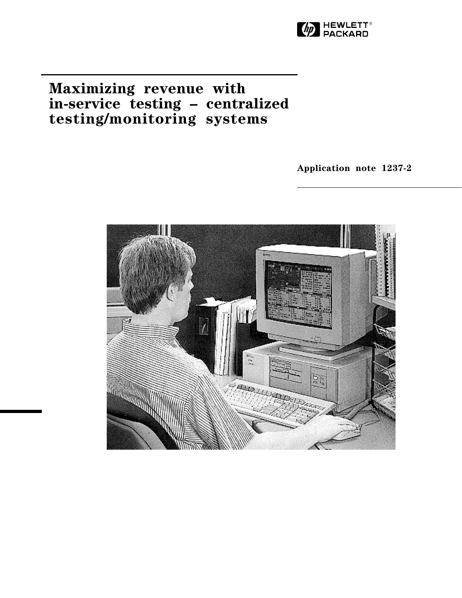

# **Maximizing revenue with in-service testing – centralized testing/monitoring systems**

**Application note 1237-2**

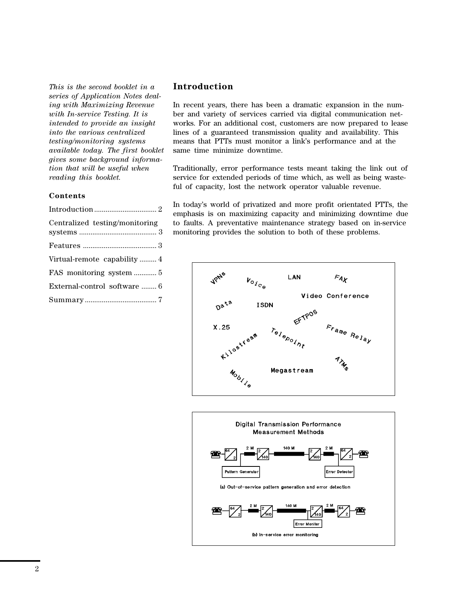*This is the second booklet in a series of Application Notes dealing with Maximizing Revenue with In-service Testing. It is intended to provide an insight into the various centralized testing/monitoring systems available today. The first booklet gives some background information that will be useful when reading this booklet.*

### **Contents**

| Centralized testing/monitoring |
|--------------------------------|
|                                |
| Virtual-remote capability  4   |
| FAS monitoring system  5       |
| External-control software  6   |
|                                |
|                                |

### **Introduction**

In recent years, there has been a dramatic expansion in the number and variety of services carried via digital communication networks. For an additional cost, customers are now prepared to lease lines of a guaranteed transmission quality and availability. This means that PTTs must monitor a link's performance and at the same time minimize downtime.

Traditionally, error performance tests meant taking the link out of service for extended periods of time which, as well as being wasteful of capacity, lost the network operator valuable revenue.

In today's world of privatized and more profit orientated PTTs, the emphasis is on maximizing capacity and minimizing downtime due to faults. A preventative maintenance strategy based on in-service monitoring provides the solution to both of these problems.



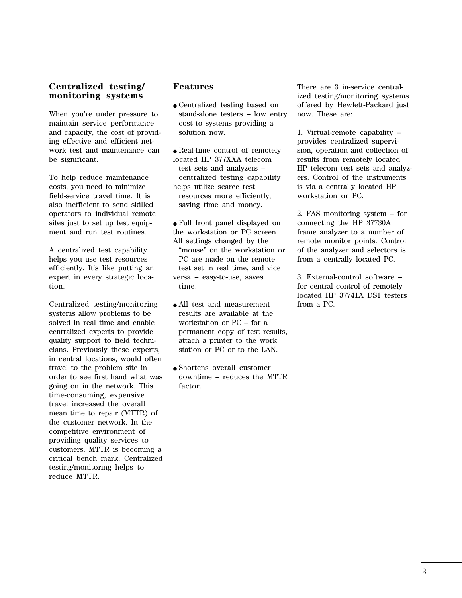### **Centralized testing/ monitoring systems**

When you're under pressure to maintain service performance and capacity, the cost of providing effective and efficient network test and maintenance can be significant.

To help reduce maintenance costs, you need to minimize field-service travel time. It is also inefficient to send skilled operators to individual remote sites just to set up test equipment and run test routines.

A centralized test capability helps you use test resources efficiently. It's like putting an expert in every strategic location.

Centralized testing/monitoring systems allow problems to be solved in real time and enable centralized experts to provide quality support to field technicians. Previously these experts, in central locations, would often travel to the problem site in order to see first hand what was going on in the network. This time-consuming, expensive travel increased the overall mean time to repair (MTTR) of the customer network. In the competitive environment of providing quality services to customers, MTTR is becoming a critical bench mark. Centralized testing/monitoring helps to reduce MTTR.

### **Features**

● Centralized testing based on stand-alone testers – low entry cost to systems providing a solution now.

● Real-time control of remotely located HP 377XXA telecom test sets and analyzers – centralized testing capability helps utilize scarce test resources more efficiently, saving time and money.

● Full front panel displayed on the workstation or PC screen. All settings changed by the "mouse" on the workstation or PC are made on the remote test set in real time, and vice versa – easy-to-use, saves time.

- All test and measurement results are available at the workstation or PC – for a permanent copy of test results, attach a printer to the work station or PC or to the LAN.
- Shortens overall customer downtime – reduces the MTTR factor.

There are 3 in-service centralized testing/monitoring systems offered by Hewlett-Packard just now. These are:

1. Virtual-remote capability – provides centralized supervision, operation and collection of results from remotely located HP telecom test sets and analyzers. Control of the instruments is via a centrally located HP workstation or PC.

2. FAS monitoring system – for connecting the HP 37730A frame analyzer to a number of remote monitor points. Control of the analyzer and selectors is from a centrally located PC.

3. External-control software – for central control of remotely located HP 37741A DS1 testers from a PC.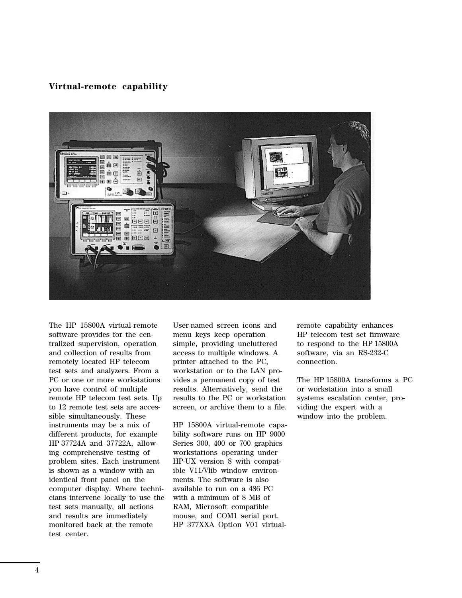### **Virtual-remote capability**



The HP 15800A virtual-remote software provides for the centralized supervision, operation and collection of results from remotely located HP telecom test sets and analyzers. From a PC or one or more workstations you have control of multiple remote HP telecom test sets. Up to 12 remote test sets are accessible simultaneously. These instruments may be a mix of different products, for example HP 37724A and 37722A, allowing comprehensive testing of problem sites. Each instrument is shown as a window with an identical front panel on the computer display. Where technicians intervene locally to use the test sets manually, all actions and results are immediately monitored back at the remote test center.

User-named screen icons and menu keys keep operation simple, providing uncluttered access to multiple windows. A printer attached to the PC, workstation or to the LAN provides a permanent copy of test results. Alternatively, send the results to the PC or workstation screen, or archive them to a file.

HP 15800A virtual-remote capability software runs on HP 9000 Series 300, 400 or 700 graphics workstations operating under HP-UX version 8 with compatible V11/Vlib window environments. The software is also available to run on a 486 PC with a minimum of 8 MB of RAM, Microsoft compatible mouse, and COM1 serial port. HP 377XXA Option V01 virtualremote capability enhances HP telecom test set firmware to respond to the HP 15800A software, via an RS-232-C connection.

The HP 15800A transforms a PC or workstation into a small systems escalation center, providing the expert with a window into the problem.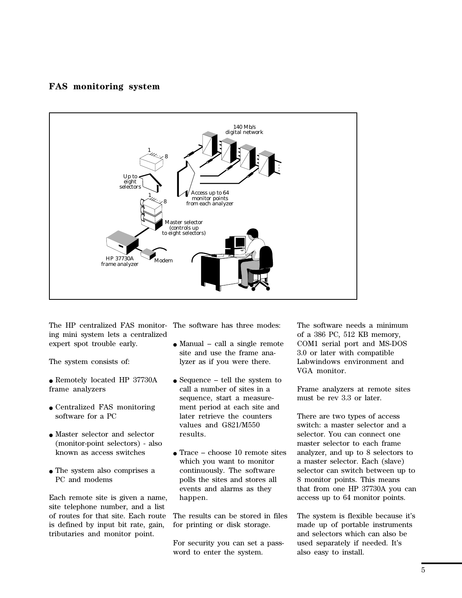## **FAS monitoring system**



The HP centralized FAS monitor-The software has three modes: ing mini system lets a centralized expert spot trouble early.

The system consists of:

- Remotely located HP 37730A frame analyzers
- Centralized FAS monitoring software for a PC
- Master selector and selector (monitor-point selectors) - also known as access switches
- The system also comprises a PC and modems

Each remote site is given a name, site telephone number, and a list of routes for that site. Each route is defined by input bit rate, gain, tributaries and monitor point.

- $\bullet$  Manual call a single remote site and use the frame analyzer as if you were there.
- $\bullet$  Sequence tell the system to call a number of sites in a sequence, start a measurement period at each site and later retrieve the counters values and G821/M550 results.
- $\bullet$  Trace choose 10 remote sites which you want to monitor continuously. The software polls the sites and stores all events and alarms as they happen.

The results can be stored in files for printing or disk storage.

For security you can set a password to enter the system.

The software needs a minimum of a 386 PC, 512 KB memory, COM1 serial port and MS-DOS 3.0 or later with compatible Labwindows environment and VGA monitor.

Frame analyzers at remote sites must be rev 3.3 or later.

There are two types of access switch: a master selector and a selector. You can connect one master selector to each frame analyzer, and up to 8 selectors to a master selector. Each (slave) selector can switch between up to 8 monitor points. This means that from one HP 37730A you can access up to 64 monitor points.

The system is flexible because it's made up of portable instruments and selectors which can also be used separately if needed. It's also easy to install.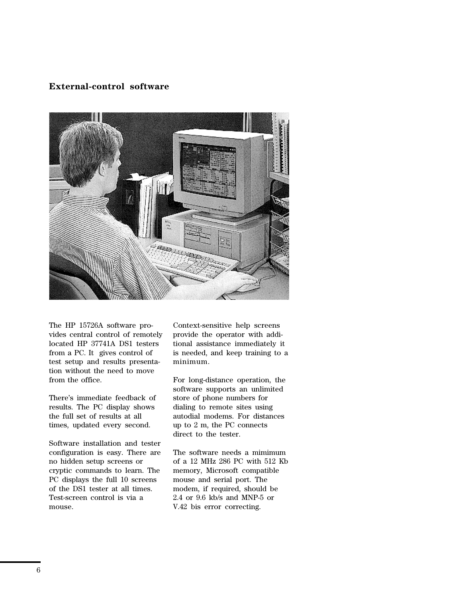# **External-control software**



The HP 15726A software provides central control of remotely located HP 37741A DS1 testers from a PC. It gives control of test setup and results presentation without the need to move from the office.

There's immediate feedback of results. The PC display shows the full set of results at all times, updated every second.

Software installation and tester configuration is easy. There are no hidden setup screens or cryptic commands to learn. The PC displays the full 10 screens of the DS1 tester at all times. Test-screen control is via a mouse.

Context-sensitive help screens provide the operator with additional assistance immediately it is needed, and keep training to a minimum.

For long-distance operation, the software supports an unlimited store of phone numbers for dialing to remote sites using autodial modems. For distances up to 2 m, the PC connects direct to the tester.

The software needs a mimimum of a 12 MHz 286 PC with 512 Kb memory, Microsoft compatible mouse and serial port. The modem, if required, should be 2.4 or 9.6 kb/s and MNP-5 or V.42 bis error correcting.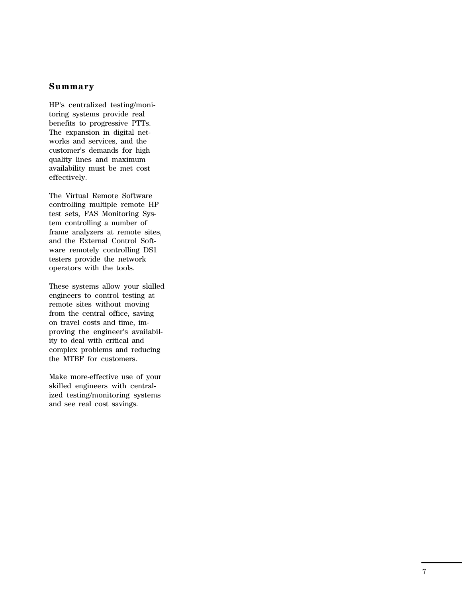### **Summary**

HP's centralized testing/monitoring systems provide real benefits to progressive PTTs. The expansion in digital networks and services, and the customer's demands for high quality lines and maximum availability must be met cost effectively.

The Virtual Remote Software controlling multiple remote HP test sets, FAS Monitoring System controlling a number of frame analyzers at remote sites, and the External Control Software remotely controlling DS1 testers provide the network operators with the tools.

These systems allow your skilled engineers to control testing at remote sites without moving from the central office, saving on travel costs and time, improving the engineer's availability to deal with critical and complex problems and reducing the MTBF for customers.

Make more-effective use of your skilled engineers with centralized testing/monitoring systems and see real cost savings.